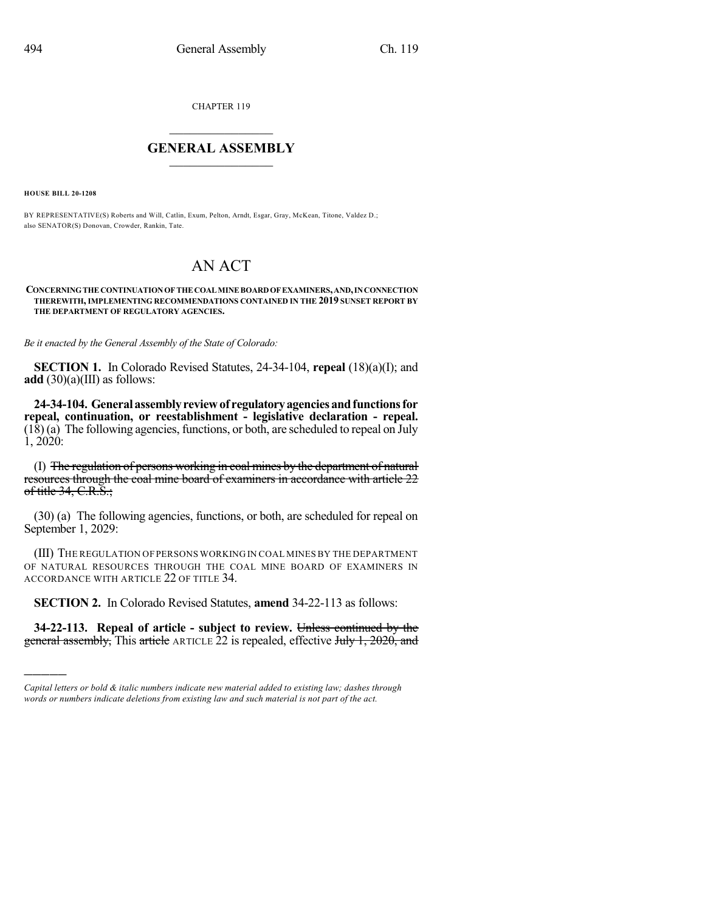CHAPTER 119

## $\overline{\phantom{a}}$  . The set of the set of the set of the set of the set of the set of the set of the set of the set of the set of the set of the set of the set of the set of the set of the set of the set of the set of the set o **GENERAL ASSEMBLY**  $\frac{1}{\sqrt{2}}$

**HOUSE BILL 20-1208**

)))))

BY REPRESENTATIVE(S) Roberts and Will, Catlin, Exum, Pelton, Arndt, Esgar, Gray, McKean, Titone, Valdez D.; also SENATOR(S) Donovan, Crowder, Rankin, Tate.

## AN ACT

**CONCERNINGTHECONTINUATIONOFTHECOALMINEBOARDOFEXAMINERS,AND,INCONNECTION THEREWITH,IMPLEMENTING RECOMMENDATIONS CONTAINED IN THE 2019 SUNSET REPORT BY THE DEPARTMENT OF REGULATORY AGENCIES.**

*Be it enacted by the General Assembly of the State of Colorado:*

**SECTION 1.** In Colorado Revised Statutes, 24-34-104, **repeal** (18)(a)(I); and **add**  $(30)(a)(III)$  as follows:

**24-34-104. Generalassemblyreviewof regulatoryagenciesandfunctionsfor repeal, continuation, or reestablishment - legislative declaration - repeal.** (18) (a) The following agencies, functions, or both, are scheduled to repeal on July 1, 2020:

(I) The regulation of persons working in coal mines by the department of natural resources through the coal mine board of examiners in accordance with article 22 of title  $34, C.R.S.$ ;

(30) (a) The following agencies, functions, or both, are scheduled for repeal on September 1, 2029:

(III) THE REGULATION OF PERSONS WORKING IN COAL MINES BY THE DEPARTMENT OF NATURAL RESOURCES THROUGH THE COAL MINE BOARD OF EXAMINERS IN ACCORDANCE WITH ARTICLE 22 OF TITLE 34.

**SECTION 2.** In Colorado Revised Statutes, **amend** 34-22-113 as follows:

**34-22-113. Repeal of article - subject to review.** Unless continued by the general assembly, This article ARTICLE 22 is repealed, effective July 1, 2020, and

*Capital letters or bold & italic numbers indicate new material added to existing law; dashes through words or numbers indicate deletions from existing law and such material is not part of the act.*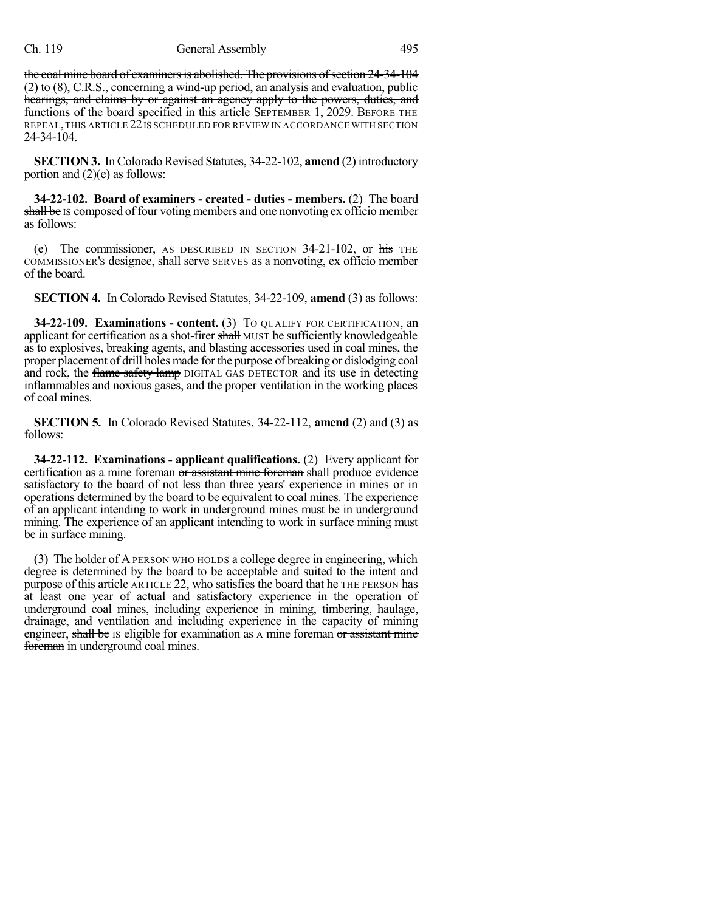the coal mine board of examiners is abolished. The provisions of section 24-34-104 (2) to (8), C.R.S., concerning a wind-up period, an analysis and evaluation, public hearings, and claims by or against an agency apply to the powers, duties, and functions of the board specified in this article SEPTEMBER 1, 2029. BEFORE THE REPEAL,THIS ARTICLE 22IS SCHEDULED FOR REVIEW IN ACCORDANCE WITH SECTION 24-34-104.

**SECTION 3.** In Colorado Revised Statutes, 34-22-102, **amend** (2) introductory portion and (2)(e) as follows:

**34-22-102. Board of examiners - created - duties - members.** (2) The board shall be IS composed of four voting members and one nonvoting ex officio member as follows:

(e) The commissioner, AS DESCRIBED IN SECTION  $34-21-102$ , or his THE COMMISSIONER's designee, shall serve SERVES as a nonvoting, ex officio member of the board.

**SECTION 4.** In Colorado Revised Statutes, 34-22-109, **amend** (3) as follows:

**34-22-109. Examinations - content.** (3) TO QUALIFY FOR CERTIFICATION, an applicant for certification as a shot-firer shall MUST be sufficiently knowledgeable as to explosives, breaking agents, and blasting accessories used in coal mines, the proper placement of drill holes made for the purpose of breaking or dislodging coal and rock, the flame safety lamp DIGITAL GAS DETECTOR and its use in detecting inflammables and noxious gases, and the proper ventilation in the working places of coal mines.

**SECTION 5.** In Colorado Revised Statutes, 34-22-112, **amend** (2) and (3) as follows:

**34-22-112. Examinations - applicant qualifications.** (2) Every applicant for certification as a mine foreman or assistant mine foreman shall produce evidence satisfactory to the board of not less than three years' experience in mines or in operations determined by the board to be equivalent to coal mines. The experience of an applicant intending to work in underground mines must be in underground mining. The experience of an applicant intending to work in surface mining must be in surface mining.

(3) The holder of A PERSON WHO HOLDS a college degree in engineering, which degree is determined by the board to be acceptable and suited to the intent and purpose of this article ARTICLE 22, who satisfies the board that he THE PERSON has at least one year of actual and satisfactory experience in the operation of underground coal mines, including experience in mining, timbering, haulage, drainage, and ventilation and including experience in the capacity of mining engineer, shall be Is eligible for examination as A mine foreman or assistant mine foreman in underground coal mines.